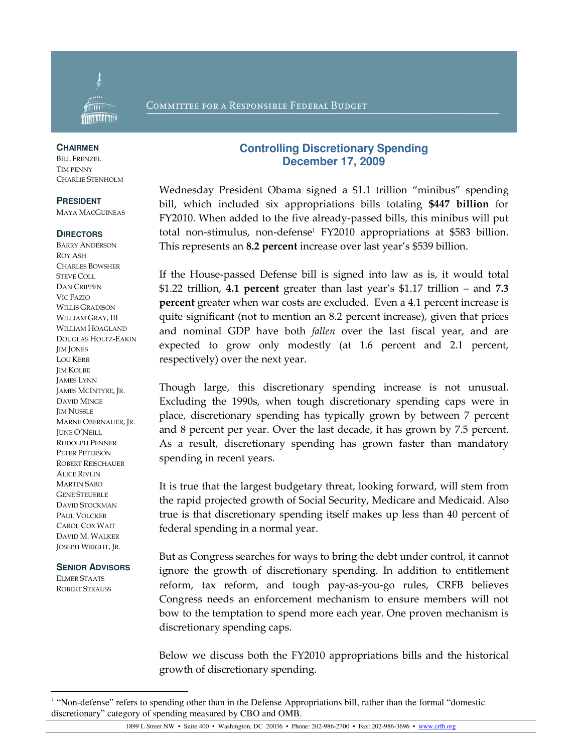

### COMMITTEE FOR A RESPONSIBLE FEDERAL BUDGET

#### **CHAIRMEN**

BILL FRENZEL TIM PENNY CHARLIE STENHOLM

### **PRESIDENT**

MAYA MACGUINEAS

#### **DIRECTORS**

BARRY ANDERSON ROY ASH CHARLES BOWSHER STEVE COLL DAN CRIPPEN VIC FAZIO WILLIS GRADISON WILLIAM GRAY, III WILLIAM HOAGLAND DOUGLAS HOLTZ-EAKIN JIM JONES LOU KERR IM KOLBE JAMES LYNN JAMES MCINTYRE, JR. DAVID MINGE JIM NUSSLE MARNE OBERNAUER, JR. JUNE O'NEILL RUDOLPH PENNER PETER PETERSON ROBERT REISCHAUER ALICE RIVLIN MARTIN SABO GENE STEUERLE DAVID STOCKMAN PAUL VOLCKER CAROL COX WAIT DAVID M. WALKER JOSEPH WRIGHT, JR.

### **SENIOR ADVISORS**

ELMER STAATS ROBERT STRAUSS

-

## **Controlling Discretionary Spending December 17, 2009**

Wednesday President Obama signed a \$1.1 trillion "minibus" spending bill, which included six appropriations bills totaling \$447 billion for FY2010. When added to the five already-passed bills, this minibus will put total non-stimulus, non-defense<sup>1</sup> FY2010 appropriations at \$583 billion. This represents an 8.2 percent increase over last year's \$539 billion.

If the House-passed Defense bill is signed into law as is, it would total \$1.22 trillion, 4.1 percent greater than last year's \$1.17 trillion – and 7.3 percent greater when war costs are excluded. Even a 4.1 percent increase is quite significant (not to mention an 8.2 percent increase), given that prices and nominal GDP have both fallen over the last fiscal year, and are expected to grow only modestly (at 1.6 percent and 2.1 percent, respectively) over the next year.

Though large, this discretionary spending increase is not unusual. Excluding the 1990s, when tough discretionary spending caps were in place, discretionary spending has typically grown by between 7 percent and 8 percent per year. Over the last decade, it has grown by 7.5 percent. As a result, discretionary spending has grown faster than mandatory spending in recent years.

It is true that the largest budgetary threat, looking forward, will stem from the rapid projected growth of Social Security, Medicare and Medicaid. Also true is that discretionary spending itself makes up less than 40 percent of federal spending in a normal year.

But as Congress searches for ways to bring the debt under control, it cannot ignore the growth of discretionary spending. In addition to entitlement reform, tax reform, and tough pay-as-you-go rules, CRFB believes Congress needs an enforcement mechanism to ensure members will not bow to the temptation to spend more each year. One proven mechanism is discretionary spending caps.

Below we discuss both the FY2010 appropriations bills and the historical growth of discretionary spending.

<sup>&</sup>lt;sup>1</sup> "Non-defense" refers to spending other than in the Defense Appropriations bill, rather than the formal "domestic discretionary" category of spending measured by CBO and OMB.

<sup>1899</sup> L Street NW • Suite 400 • Washington, DC 20036 • Phone: 202-986-2700 • Fax: 202-986-3696 • www.crfb.org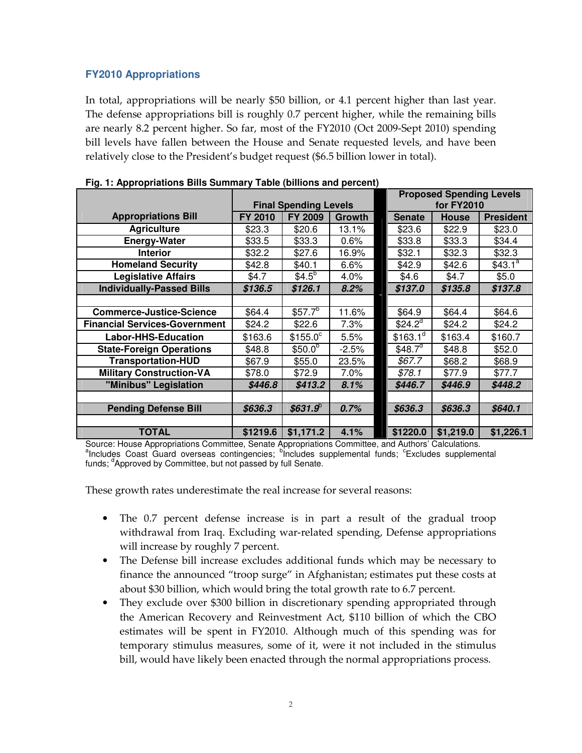# **FY2010 Appropriations**

In total, appropriations will be nearly \$50 billion, or 4.1 percent higher than last year. The defense appropriations bill is roughly 0.7 percent higher, while the remaining bills are nearly 8.2 percent higher. So far, most of the FY2010 (Oct 2009-Sept 2010) spending bill levels have fallen between the House and Senate requested levels, and have been relatively close to the President's budget request (\$6.5 billion lower in total).

|                                      |                              |                        |               |  | <b>Proposed Spending Levels</b> |              |                     |  |
|--------------------------------------|------------------------------|------------------------|---------------|--|---------------------------------|--------------|---------------------|--|
|                                      | <b>Final Spending Levels</b> |                        |               |  | <b>for FY2010</b>               |              |                     |  |
| <b>Appropriations Bill</b>           | FY 2010                      | <b>FY 2009</b>         | <b>Growth</b> |  | <b>Senate</b>                   | <b>House</b> | <b>President</b>    |  |
| <b>Agriculture</b>                   | \$23.3                       | \$20.6                 | 13.1%         |  | \$23.6                          | \$22.9       | \$23.0              |  |
| <b>Energy-Water</b>                  | \$33.5                       | \$33.3                 | 0.6%          |  | \$33.8                          | \$33.3       | \$34.4              |  |
| <b>Interior</b>                      | \$32.2                       | \$27.6                 | 16.9%         |  | \$32.1                          | \$32.3       | \$32.3              |  |
| <b>Homeland Security</b>             | \$42.8                       | \$40.1                 | 6.6%          |  | \$42.9                          | \$42.6       | \$43.1 <sup>a</sup> |  |
| <b>Legislative Affairs</b>           | \$4.7                        | $$4.5^{\overline{6}}$$ | 4.0%          |  | \$4.6                           | \$4.7        | \$5.0               |  |
| <b>Individually-Passed Bills</b>     | \$136.5                      | \$126.1                | 8.2%          |  | \$137.0                         | \$135.8      | \$137.8             |  |
|                                      |                              |                        |               |  |                                 |              |                     |  |
| <b>Commerce-Justice-Science</b>      | \$64.4                       | \$57.7 <sup>b</sup>    | 11.6%         |  | \$64.9                          | \$64.4       | \$64.6              |  |
| <b>Financial Services-Government</b> | \$24.2                       | \$22.6                 | 7.3%          |  | \$24.2 <sup>d</sup>             | \$24.2       | \$24.2              |  |
| <b>Labor-HHS-Education</b>           | \$163.6                      | $$155.0^{\circ}$       | 5.5%          |  | \$163.1 <sup>d</sup>            | \$163.4      | \$160.7             |  |
| <b>State-Foreign Operations</b>      | \$48.8                       | $$50.0^b$              | $-2.5%$       |  | \$48.7 $\sigma$                 | \$48.8       | \$52.0              |  |
| <b>Transportation-HUD</b>            | \$67.9                       | \$55.0                 | 23.5%         |  | \$67.7                          | \$68.2       | \$68.9              |  |
| <b>Military Construction-VA</b>      | \$78.0                       | \$72.9                 | 7.0%          |  | \$78.1                          | \$77.9       | \$77.7              |  |
| "Minibus" Legislation                | \$446.8                      | \$413.2                | 8.1%          |  | \$446.7                         | \$446.9      | \$448.2             |  |
|                                      |                              |                        |               |  |                                 |              |                     |  |
| <b>Pending Defense Bill</b>          | \$636.3                      | $$631.9^\circ$         | 0.7%          |  | \$636.3                         | \$636.3      | \$640.1             |  |
|                                      |                              |                        |               |  |                                 |              |                     |  |
| <b>TOTAL</b>                         | \$1219.6                     | \$1,171.2              | 4.1%          |  | \$1220.0                        | \$1,219.0    | \$1,226.1           |  |

**Fig. 1: Appropriations Bills Summary Table (billions and percent)** 

Source: House Appropriations Committee, Senate Appropriations Committee, and Authors' Calculations. <sup>a</sup>Includes Coast Guard overseas contingencies; <sup>b</sup>includes supplemental funds; <sup>c</sup>Excludes supplemental funds; <sup>d</sup>Approved by Committee, but not passed by full Senate.

These growth rates underestimate the real increase for several reasons:

- The 0.7 percent defense increase is in part a result of the gradual troop withdrawal from Iraq. Excluding war-related spending, Defense appropriations will increase by roughly 7 percent.
- The Defense bill increase excludes additional funds which may be necessary to finance the announced "troop surge" in Afghanistan; estimates put these costs at about \$30 billion, which would bring the total growth rate to 6.7 percent.
- They exclude over \$300 billion in discretionary spending appropriated through the American Recovery and Reinvestment Act, \$110 billion of which the CBO estimates will be spent in FY2010. Although much of this spending was for temporary stimulus measures, some of it, were it not included in the stimulus bill, would have likely been enacted through the normal appropriations process.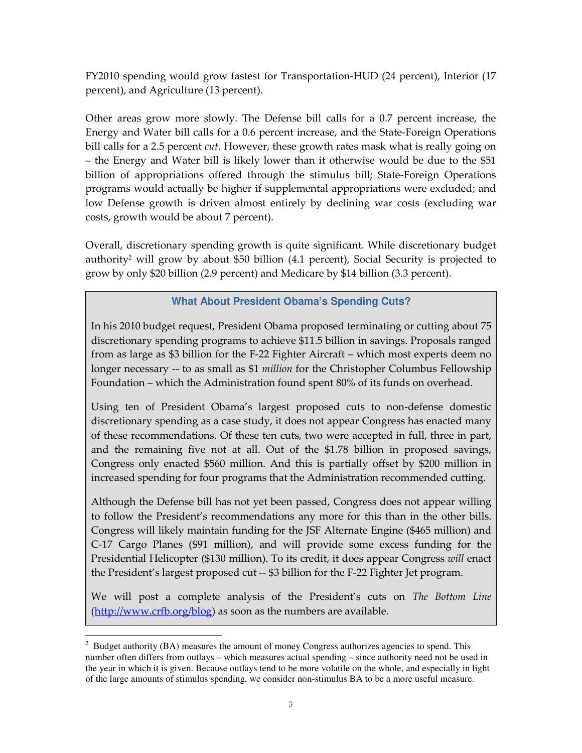FY2010 spending would grow fastest for Transportation-HUD (24 percent), Interior (17 percent), and Agriculture (13 percent).

Other areas grow more slowly. The Defense bill calls for a 0.7 percent increase, the Energy and Water bill calls for a 0.6 percent increase, and the State-Foreign Operations bill calls for a 2.5 percent *cut*. However, these growth rates mask what is really going on – the Energy and Water bill is likely lower than it otherwise would be due to the \$51 billion of appropriations offered through the stimulus bill; State-Foreign Operations programs would actually be higher if supplemental appropriations were excluded; and low Defense growth is driven almost entirely by declining war costs (excluding war costs, growth would be about 7 percent).

Overall, discretionary spending growth is quite significant. While discretionary budget authority<sup>2</sup> will grow by about \$50 billion (4.1 percent), Social Security is projected to grow by only \$20 billion (2.9 percent) and Medicare by \$14 billion (3.3 percent).

# **What About President Obama's Spending Cuts?**

In his 2010 budget request, President Obama proposed terminating or cutting about 75 discretionary spending programs to achieve \$11.5 billion in savings. Proposals ranged from as large as \$3 billion for the F-22 Fighter Aircraft – which most experts deem no longer necessary -- to as small as \$1 *million* for the Christopher Columbus Fellowship Foundation – which the Administration found spent 80% of its funds on overhead.

Using ten of President Obama's largest proposed cuts to non-defense domestic discretionary spending as a case study, it does not appear Congress has enacted many of these recommendations. Of these ten cuts, two were accepted in full, three in part, and the remaining five not at all. Out of the \$1.78 billion in proposed savings, Congress only enacted \$560 million. And this is partially offset by \$200 million in increased spending for four programs that the Administration recommended cutting.

Although the Defense bill has not yet been passed, Congress does not appear willing to follow the President's recommendations any more for this than in the other bills. Congress will likely maintain funding for the JSF Alternate Engine (\$465 million) and C-17 Cargo Planes (\$91 million), and will provide some excess funding for the Presidential Helicopter (\$130 million). To its credit, it does appear Congress will enact the President's largest proposed cut -- \$3 billion for the F-22 Fighter Jet program.

We will post a complete analysis of the President's cuts on The Bottom Line (http://www.crfb.org/blog) as soon as the numbers are available.

 $\overline{a}$  $2^2$  Budget authority (BA) measures the amount of money Congress authorizes agencies to spend. This number often differs from outlays – which measures actual spending – since authority need not be used in the year in which it is given. Because outlays tend to be more volatile on the whole, and especially in light of the large amounts of stimulus spending, we consider non-stimulus BA to be a more useful measure.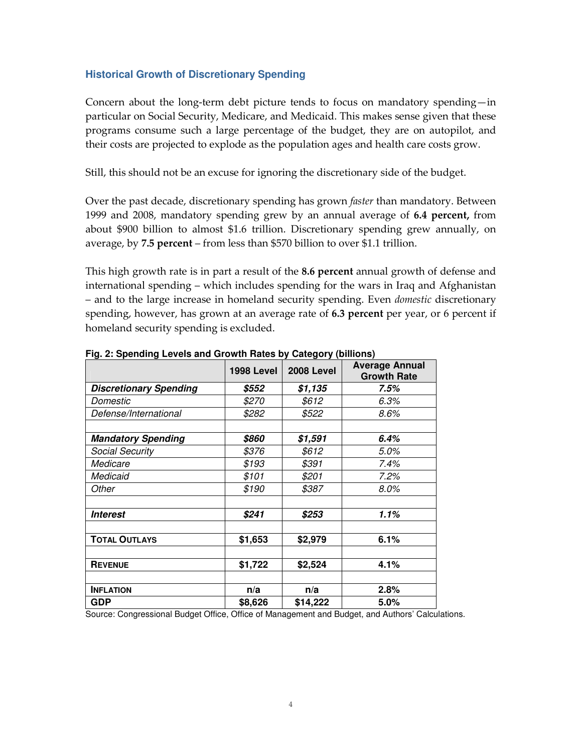# **Historical Growth of Discretionary Spending**

Concern about the long-term debt picture tends to focus on mandatory spending—in particular on Social Security, Medicare, and Medicaid. This makes sense given that these programs consume such a large percentage of the budget, they are on autopilot, and their costs are projected to explode as the population ages and health care costs grow.

Still, this should not be an excuse for ignoring the discretionary side of the budget.

Over the past decade, discretionary spending has grown *faster* than mandatory. Between 1999 and 2008, mandatory spending grew by an annual average of 6.4 percent, from about \$900 billion to almost \$1.6 trillion. Discretionary spending grew annually, on average, by  $7.5$  percent – from less than \$570 billion to over \$1.1 trillion.

This high growth rate is in part a result of the 8.6 percent annual growth of defense and international spending – which includes spending for the wars in Iraq and Afghanistan – and to the large increase in homeland security spending. Even domestic discretionary spending, however, has grown at an average rate of 6.3 percent per year, or 6 percent if homeland security spending is excluded.

|                               | <b>1998 Level</b> | <b>2008 Level</b> | <b>Average Annual</b><br><b>Growth Rate</b> |  |
|-------------------------------|-------------------|-------------------|---------------------------------------------|--|
| <b>Discretionary Spending</b> | \$552             | \$1,135           | 7.5%                                        |  |
| Domestic                      | <i>\$270</i>      | \$612             | 6.3%                                        |  |
| Defense/International         | \$282             | \$522             | 8.6%                                        |  |
|                               |                   |                   |                                             |  |
| <b>Mandatory Spending</b>     | \$860             | \$1,591           | 6.4%                                        |  |
| <b>Social Security</b>        | \$376             | \$612             | 5.0%                                        |  |
| Medicare                      | \$193             | \$391             | 7.4%                                        |  |
| Medicaid                      | \$101             | \$201             | 7.2%                                        |  |
| Other                         | \$190             | \$387             | $8.0\%$                                     |  |
|                               |                   |                   |                                             |  |
| <i><b>Interest</b></i>        | \$241             | \$253             | $1.1\%$                                     |  |
|                               |                   |                   |                                             |  |
| <b>TOTAL OUTLAYS</b>          | \$1,653           | \$2,979           | 6.1%                                        |  |
|                               |                   |                   |                                             |  |
| <b>REVENUE</b>                | \$1,722           | \$2,524           | 4.1%                                        |  |
|                               |                   |                   |                                             |  |
| <b>INFLATION</b>              | n/a               | n/a               | 2.8%                                        |  |
| <b>GDP</b>                    | \$8,626           | \$14,222          | 5.0%                                        |  |

**Fig. 2: Spending Levels and Growth Rates by Category (billions)** 

Source: Congressional Budget Office, Office of Management and Budget, and Authors' Calculations.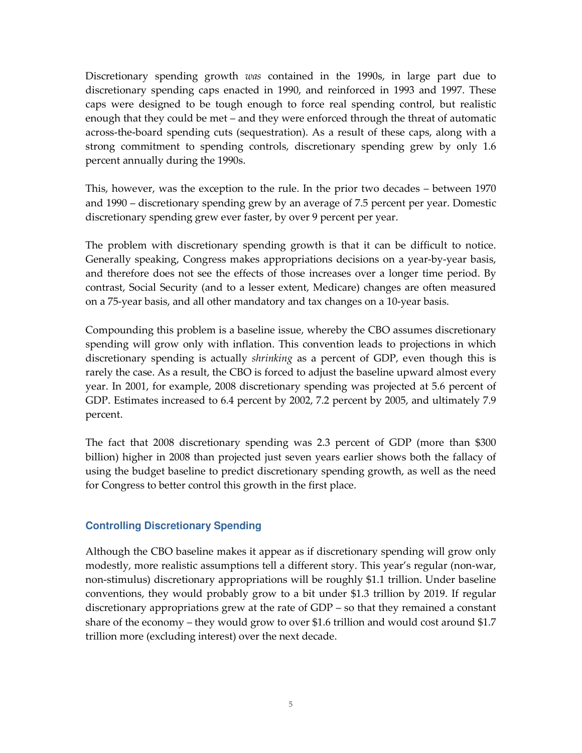Discretionary spending growth *was* contained in the 1990s, in large part due to discretionary spending caps enacted in 1990, and reinforced in 1993 and 1997. These caps were designed to be tough enough to force real spending control, but realistic enough that they could be met – and they were enforced through the threat of automatic across-the-board spending cuts (sequestration). As a result of these caps, along with a strong commitment to spending controls, discretionary spending grew by only 1.6 percent annually during the 1990s.

This, however, was the exception to the rule. In the prior two decades – between 1970 and 1990 – discretionary spending grew by an average of 7.5 percent per year. Domestic discretionary spending grew ever faster, by over 9 percent per year.

The problem with discretionary spending growth is that it can be difficult to notice. Generally speaking, Congress makes appropriations decisions on a year-by-year basis, and therefore does not see the effects of those increases over a longer time period. By contrast, Social Security (and to a lesser extent, Medicare) changes are often measured on a 75-year basis, and all other mandatory and tax changes on a 10-year basis.

Compounding this problem is a baseline issue, whereby the CBO assumes discretionary spending will grow only with inflation. This convention leads to projections in which discretionary spending is actually *shrinking* as a percent of GDP, even though this is rarely the case. As a result, the CBO is forced to adjust the baseline upward almost every year. In 2001, for example, 2008 discretionary spending was projected at 5.6 percent of GDP. Estimates increased to 6.4 percent by 2002, 7.2 percent by 2005, and ultimately 7.9 percent.

The fact that 2008 discretionary spending was 2.3 percent of GDP (more than \$300 billion) higher in 2008 than projected just seven years earlier shows both the fallacy of using the budget baseline to predict discretionary spending growth, as well as the need for Congress to better control this growth in the first place.

## **Controlling Discretionary Spending**

Although the CBO baseline makes it appear as if discretionary spending will grow only modestly, more realistic assumptions tell a different story. This year's regular (non-war, non-stimulus) discretionary appropriations will be roughly \$1.1 trillion. Under baseline conventions, they would probably grow to a bit under \$1.3 trillion by 2019. If regular discretionary appropriations grew at the rate of GDP – so that they remained a constant share of the economy – they would grow to over \$1.6 trillion and would cost around \$1.7 trillion more (excluding interest) over the next decade.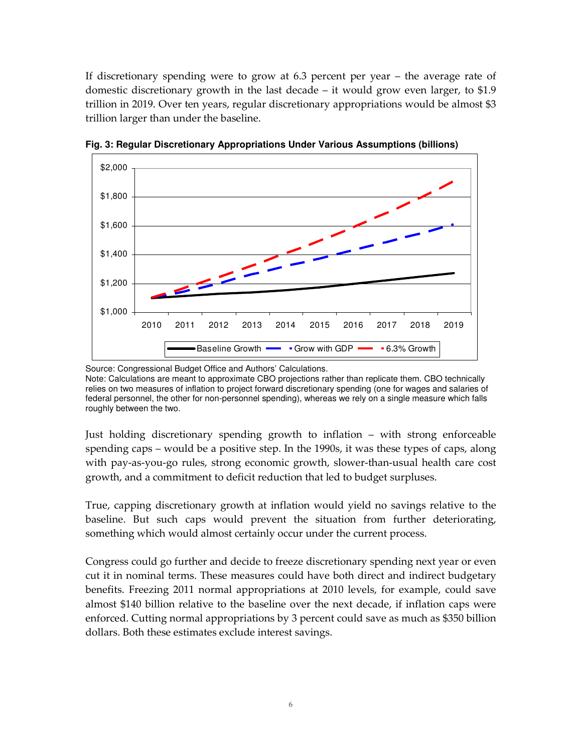If discretionary spending were to grow at 6.3 percent per year – the average rate of domestic discretionary growth in the last decade – it would grow even larger, to \$1.9 trillion in 2019. Over ten years, regular discretionary appropriations would be almost \$3 trillion larger than under the baseline.



**Fig. 3: Regular Discretionary Appropriations Under Various Assumptions (billions)** 

Just holding discretionary spending growth to inflation – with strong enforceable spending caps – would be a positive step. In the 1990s, it was these types of caps, along with pay-as-you-go rules, strong economic growth, slower-than-usual health care cost growth, and a commitment to deficit reduction that led to budget surpluses.

True, capping discretionary growth at inflation would yield no savings relative to the baseline. But such caps would prevent the situation from further deteriorating, something which would almost certainly occur under the current process.

Congress could go further and decide to freeze discretionary spending next year or even cut it in nominal terms. These measures could have both direct and indirect budgetary benefits. Freezing 2011 normal appropriations at 2010 levels, for example, could save almost \$140 billion relative to the baseline over the next decade, if inflation caps were enforced. Cutting normal appropriations by 3 percent could save as much as \$350 billion dollars. Both these estimates exclude interest savings.

Source: Congressional Budget Office and Authors' Calculations. Note: Calculations are meant to approximate CBO projections rather than replicate them. CBO technically relies on two measures of inflation to project forward discretionary spending (one for wages and salaries of federal personnel, the other for non-personnel spending), whereas we rely on a single measure which falls roughly between the two.